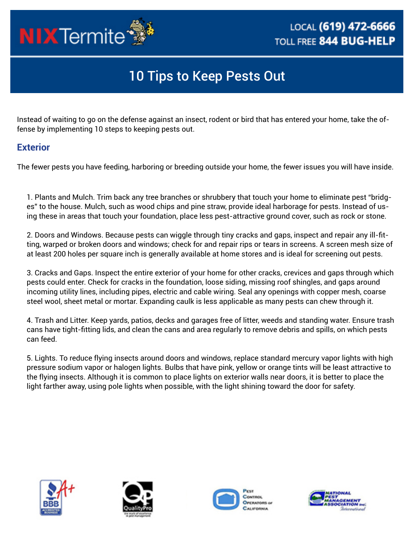

## 10 Tips to Keep Pests Out

Instead of waiting to go on the defense against an insect, rodent or bird that has entered your home, take the offense by implementing 10 steps to keeping pests out.

## **Exterior**

The fewer pests you have feeding, harboring or breeding outside your home, the fewer issues you will have inside.

1. Plants and Mulch. Trim back any tree branches or shrubbery that touch your home to eliminate pest "bridges" to the house. Mulch, such as wood chips and pine straw, provide ideal harborage for pests. Instead of using these in areas that touch your foundation, place less pest-attractive ground cover, such as rock or stone.

2. Doors and Windows. Because pests can wiggle through tiny cracks and gaps, inspect and repair any ill-fitting, warped or broken doors and windows; check for and repair rips or tears in screens. A screen mesh size of at least 200 holes per square inch is generally available at home stores and is ideal for screening out pests.

3. Cracks and Gaps. Inspect the entire exterior of your home for other cracks, crevices and gaps through which pests could enter. Check for cracks in the foundation, loose siding, missing roof shingles, and gaps around incoming utility lines, including pipes, electric and cable wiring. Seal any openings with copper mesh, coarse steel wool, sheet metal or mortar. Expanding caulk is less applicable as many pests can chew through it.

4. Trash and Litter. Keep yards, patios, decks and garages free of litter, weeds and standing water. Ensure trash cans have tight-fitting lids, and clean the cans and area regularly to remove debris and spills, on which pests can feed.

5. Lights. To reduce flying insects around doors and windows, replace standard mercury vapor lights with high pressure sodium vapor or halogen lights. Bulbs that have pink, yellow or orange tints will be least attractive to the flying insects. Although it is common to place lights on exterior walls near doors, it is better to place the light farther away, using pole lights when possible, with the light shining toward the door for safety.